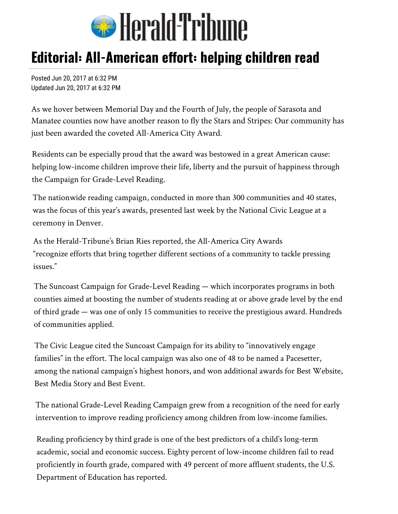

## Editorial: All-American effort: helping children read

Posted Jun 20, 2017 at 6:32 PM Updated Jun 20, 2017 at 6:32 PM

As we hover between Memorial Day and the Fourth of July, the people of Sarasota and Manatee counties now have another reason to fly the Stars and Stripes: Our community has just been awarded the coveted All-America City Award.

Residents can be especially proud that the award was bestowed in a great American cause: helping low-income children improve their life, liberty and the pursuit of happiness through the Campaign for Grade-Level Reading.

The nationwide reading campaign, conducted in more than 300 communities and 40 states, was the focus of this year's awards, presented last week by the National Civic League at a ceremony in Denver.

As the Herald-Tribune's Brian Ries reported, the All-America City Awards "recognize efforts that bring together different sections of a community to tackle pressing issues."

The Suncoast Campaign for Grade-Level Reading — which incorporates programs in both counties aimed at boosting the number of students reading at or above grade level by the end of third grade — was one of only 15 communities to receive the prestigious award. Hundreds of communities applied.

The Civic League cited the Suncoast Campaign for its ability to "innovatively engage families" in the effort. The local campaign was also one of 48 to be named a Pacesetter, among the national campaign's highest honors, and won additional awards for Best Website, Best Media Story and Best Event.

The national Grade-Level Reading Campaign grew from a recognition of the need for early intervention to improve reading proficiency among children from low-income families.

Reading proficiency by third grade is one of the best predictors of a child's long-term academic, social and economic success. Eighty percent of low-income children fail to read proficiently in fourth grade, compared with 49 percent of more affluent students, the U.S. Department of Education has reported.